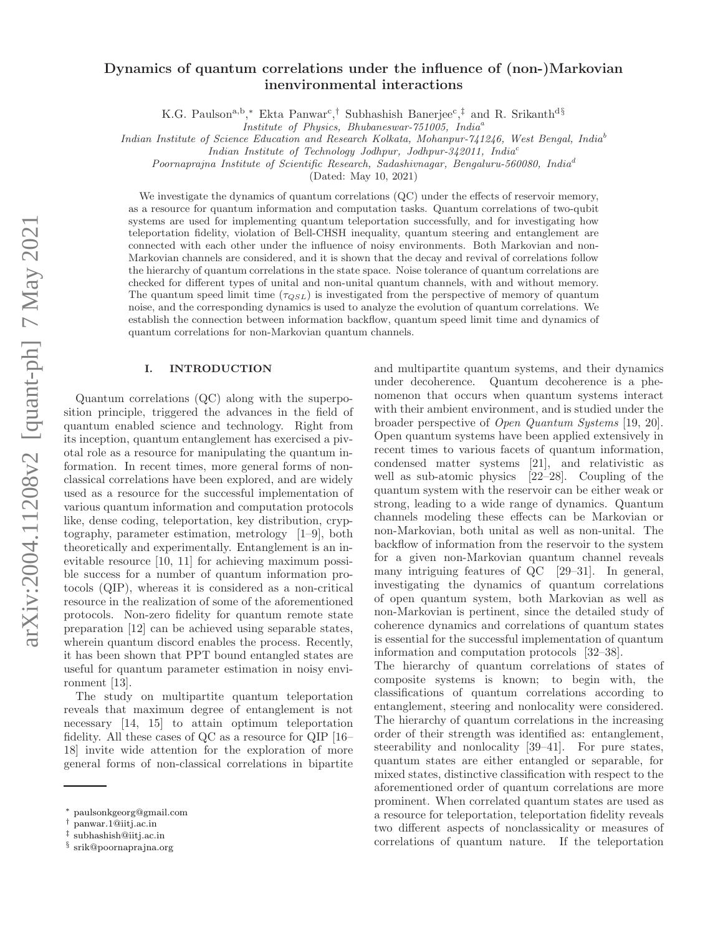# Dynamics of quantum correlations under the influence of (non-)Markovian inenvironmental interactions

K.G. Paulson<sup>a,b</sup>,\* Ekta Panwar<sup>c</sup>,† Subhashish Banerjee<sup>c</sup>,<sup>‡</sup> and R. Srikanth<sup>d§</sup>

*Institute of Physics, Bhubaneswar-751005, India*<sup>a</sup>

*Indian Institute of Science Education and Research Kolkata, Mohanpur-741246, West Bengal, India*<sup>b</sup>

*Indian Institute of Technology Jodhpur, Jodhpur-342011, India*<sup>c</sup>

*Poornaprajna Institute of Scientific Research, Sadashivnagar, Bengaluru-560080, India*<sup>d</sup>

(Dated: May 10, 2021)

We investigate the dynamics of quantum correlations (QC) under the effects of reservoir memory, as a resource for quantum information and computation tasks. Quantum correlations of two-qubit systems are used for implementing quantum teleportation successfully, and for investigating how teleportation fidelity, violation of Bell-CHSH inequality, quantum steering and entanglement are connected with each other under the influence of noisy environments. Both Markovian and non-Markovian channels are considered, and it is shown that the decay and revival of correlations follow the hierarchy of quantum correlations in the state space. Noise tolerance of quantum correlations are checked for different types of unital and non-unital quantum channels, with and without memory. The quantum speed limit time  $(\tau_{QSL})$  is investigated from the perspective of memory of quantum noise, and the corresponding dynamics is used to analyze the evolution of quantum correlations. We establish the connection between information backflow, quantum speed limit time and dynamics of quantum correlations for non-Markovian quantum channels.

### I. INTRODUCTION

Quantum correlations (QC) along with the superposition principle, triggered the advances in the field of quantum enabled science and technology. Right from its inception, quantum entanglement has exercised a pivotal role as a resource for manipulating the quantum information. In recent times, more general forms of nonclassical correlations have been explored, and are widely used as a resource for the successful implementation of various quantum information and computation protocols like, dense coding, teleportation, key distribution, cryptography, parameter estimation, metrology [1–9], both theoretically and experimentally. Entanglement is an inevitable resource [10, 11] for achieving maximum possible success for a number of quantum information protocols (QIP), whereas it is considered as a non-critical resource in the realization of some of the aforementioned protocols. Non-zero fidelity for quantum remote state preparation [12] can be achieved using separable states, wherein quantum discord enables the process. Recently, it has been shown that PPT bound entangled states are useful for quantum parameter estimation in noisy environment [13].

The study on multipartite quantum teleportation reveals that maximum degree of entanglement is not necessary [14, 15] to attain optimum teleportation fidelity. All these cases of QC as a resource for QIP [16– 18] invite wide attention for the exploration of more general forms of non-classical correlations in bipartite

and multipartite quantum systems, and their dynamics under decoherence. Quantum decoherence is a phenomenon that occurs when quantum systems interact with their ambient environment, and is studied under the broader perspective of Open Quantum Systems [19, 20]. Open quantum systems have been applied extensively in recent times to various facets of quantum information, condensed matter systems [21], and relativistic as well as sub-atomic physics [22–28]. Coupling of the quantum system with the reservoir can be either weak or strong, leading to a wide range of dynamics. Quantum channels modeling these effects can be Markovian or non-Markovian, both unital as well as non-unital. The backflow of information from the reservoir to the system for a given non-Markovian quantum channel reveals many intriguing features of QC [29–31]. In general, investigating the dynamics of quantum correlations of open quantum system, both Markovian as well as non-Markovian is pertinent, since the detailed study of coherence dynamics and correlations of quantum states is essential for the successful implementation of quantum information and computation protocols [32–38].

The hierarchy of quantum correlations of states of composite systems is known; to begin with, the classifications of quantum correlations according to entanglement, steering and nonlocality were considered. The hierarchy of quantum correlations in the increasing order of their strength was identified as: entanglement, steerability and nonlocality [39–41]. For pure states, quantum states are either entangled or separable, for mixed states, distinctive classification with respect to the aforementioned order of quantum correlations are more prominent. When correlated quantum states are used as a resource for teleportation, teleportation fidelity reveals two different aspects of nonclassicality or measures of correlations of quantum nature. If the teleportation

<sup>∗</sup> paulsonkgeorg@gmail.com

<sup>†</sup> panwar.1@iitj.ac.in

<sup>‡</sup> subhashish@iitj.ac.in

<sup>§</sup> srik@poornaprajna.org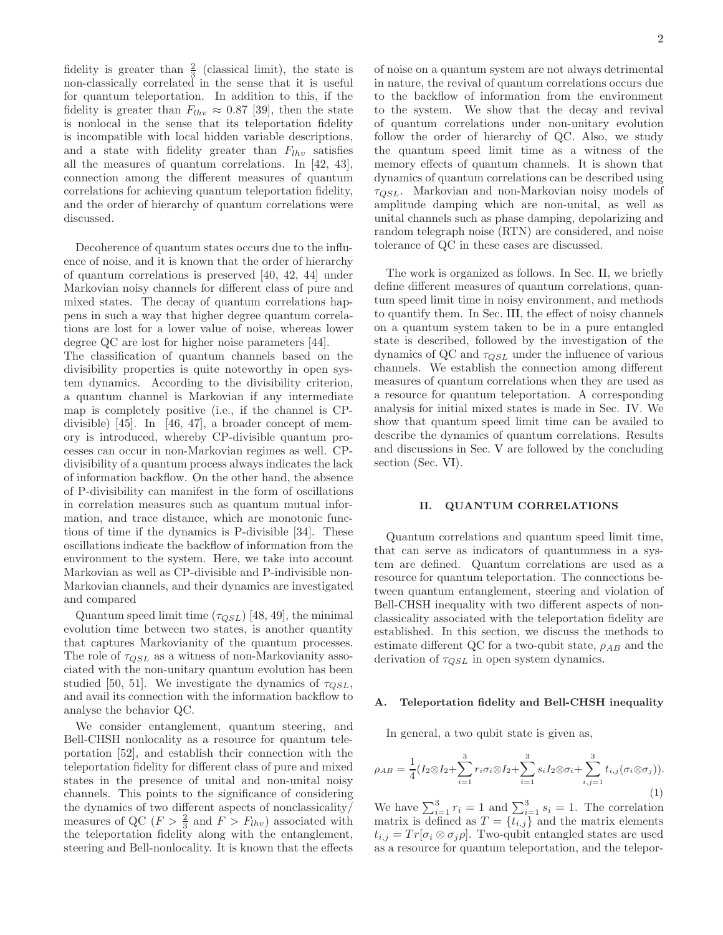fidelity is greater than  $\frac{2}{3}$  (classical limit), the state is non-classically correlated in the sense that it is useful for quantum teleportation. In addition to this, if the fidelity is greater than  $F_{lhv} \approx 0.87$  [39], then the state is nonlocal in the sense that its teleportation fidelity is incompatible with local hidden variable descriptions, and a state with fidelity greater than  $F_{lh\nu}$  satisfies all the measures of quantum correlations. In [42, 43], connection among the different measures of quantum correlations for achieving quantum teleportation fidelity, and the order of hierarchy of quantum correlations were discussed.

Decoherence of quantum states occurs due to the influence of noise, and it is known that the order of hierarchy of quantum correlations is preserved [40, 42, 44] under Markovian noisy channels for different class of pure and mixed states. The decay of quantum correlations happens in such a way that higher degree quantum correlations are lost for a lower value of noise, whereas lower degree QC are lost for higher noise parameters [44].

The classification of quantum channels based on the divisibility properties is quite noteworthy in open system dynamics. According to the divisibility criterion, a quantum channel is Markovian if any intermediate map is completely positive (i.e., if the channel is CPdivisible) [45]. In [46, 47], a broader concept of memory is introduced, whereby CP-divisible quantum processes can occur in non-Markovian regimes as well. CPdivisibility of a quantum process always indicates the lack of information backflow. On the other hand, the absence of P-divisibility can manifest in the form of oscillations in correlation measures such as quantum mutual information, and trace distance, which are monotonic functions of time if the dynamics is P-divisible [34]. These oscillations indicate the backflow of information from the environment to the system. Here, we take into account Markovian as well as CP-divisible and P-indivisible non-Markovian channels, and their dynamics are investigated and compared

Quantum speed limit time  $(\tau_{QSL})$  [48, 49], the minimal evolution time between two states, is another quantity that captures Markovianity of the quantum processes. The role of  $\tau_{QSL}$  as a witness of non-Markovianity associated with the non-unitary quantum evolution has been studied [50, 51]. We investigate the dynamics of  $\tau_{OSL}$ , and avail its connection with the information backflow to analyse the behavior QC.

We consider entanglement, quantum steering, and Bell-CHSH nonlocality as a resource for quantum teleportation [52], and establish their connection with the teleportation fidelity for different class of pure and mixed states in the presence of unital and non-unital noisy channels. This points to the significance of considering the dynamics of two different aspects of nonclassicality/ measures of QC ( $F > \frac{2}{3}$  and  $F > F_{lhv}$ ) associated with the teleportation fidelity along with the entanglement, steering and Bell-nonlocality. It is known that the effects

of noise on a quantum system are not always detrimental in nature, the revival of quantum correlations occurs due to the backflow of information from the environment to the system. We show that the decay and revival of quantum correlations under non-unitary evolution follow the order of hierarchy of QC. Also, we study the quantum speed limit time as a witness of the memory effects of quantum channels. It is shown that dynamics of quantum correlations can be described using  $\tau_{OSL}$ . Markovian and non-Markovian noisy models of amplitude damping which are non-unital, as well as unital channels such as phase damping, depolarizing and random telegraph noise (RTN) are considered, and noise tolerance of QC in these cases are discussed.

The work is organized as follows. In Sec. II, we briefly define different measures of quantum correlations, quantum speed limit time in noisy environment, and methods to quantify them. In Sec. III, the effect of noisy channels on a quantum system taken to be in a pure entangled state is described, followed by the investigation of the dynamics of QC and  $\tau_{QSL}$  under the influence of various channels. We establish the connection among different measures of quantum correlations when they are used as a resource for quantum teleportation. A corresponding analysis for initial mixed states is made in Sec. IV. We show that quantum speed limit time can be availed to describe the dynamics of quantum correlations. Results and discussions in Sec. V are followed by the concluding section (Sec. VI).

#### II. QUANTUM CORRELATIONS

Quantum correlations and quantum speed limit time, that can serve as indicators of quantumness in a system are defined. Quantum correlations are used as a resource for quantum teleportation. The connections between quantum entanglement, steering and violation of Bell-CHSH inequality with two different aspects of nonclassicality associated with the teleportation fidelity are established. In this section, we discuss the methods to estimate different QC for a two-qubit state,  $\rho_{AB}$  and the derivation of  $\tau_{QSL}$  in open system dynamics.

#### A. Teleportation fidelity and Bell-CHSH inequality

In general, a two qubit state is given as,

$$
\rho_{AB} = \frac{1}{4} (I_2 \otimes I_2 + \sum_{i=1}^3 r_i \sigma_i \otimes I_2 + \sum_{i=1}^3 s_i I_2 \otimes \sigma_i + \sum_{i,j=1}^3 t_{i,j} (\sigma_i \otimes \sigma_j)).
$$
\n(1)

We have  $\sum_{i=1}^{3} r_i = 1$  and  $\sum_{i=1}^{3} s_i = 1$ . The correlation matrix is defined as  $T = \{t_{i,j}\}\$ and the matrix elements  $t_{i,j} = Tr[\sigma_i \otimes \sigma_j \rho]$ . Two-qubit entangled states are used as a resource for quantum teleportation, and the telepor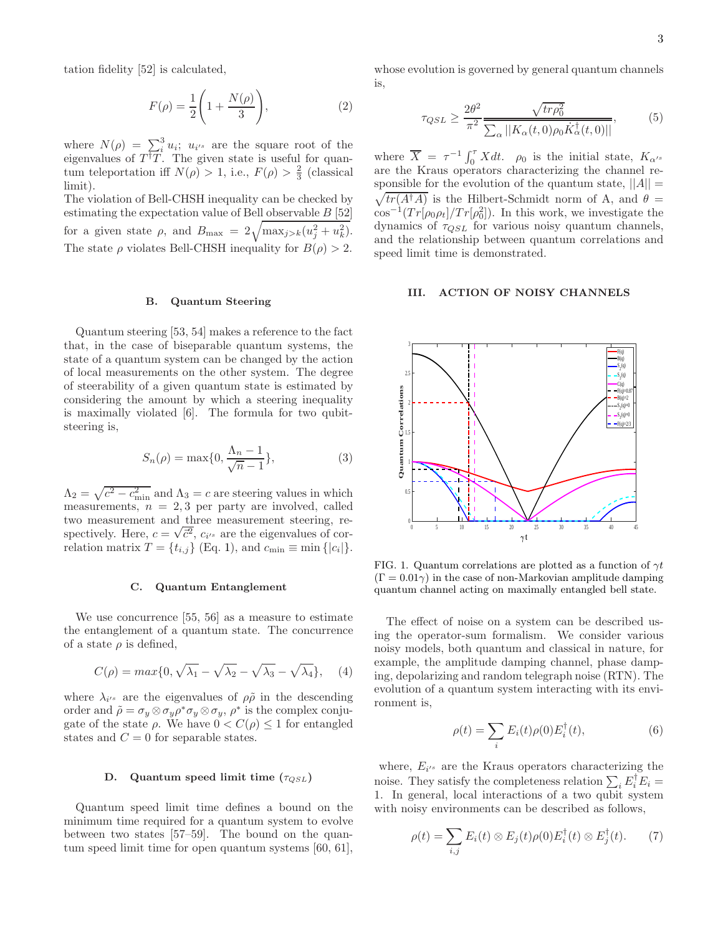tation fidelity [52] is calculated,

$$
F(\rho) = \frac{1}{2} \left( 1 + \frac{N(\rho)}{3} \right),\tag{2}
$$

where  $N(\rho) = \sum_{i=1}^{3} u_i$ ;  $u_{i}$  are the square root of the eigenvalues of  $T^{\dagger}T$ . The given state is useful for quantum teleportation iff  $N(\rho) > 1$ , i.e.,  $F(\rho) > \frac{2}{3}$  (classical limit).

The violation of Bell-CHSH inequality can be checked by estimating the expectation value of Bell observable B [52] for a given state  $\rho$ , and  $B_{\text{max}} = 2\sqrt{\max_{j>k}(u_j^2 + u_k^2)}$ . The state  $\rho$  violates Bell-CHSH inequality for  $B(\rho) > 2$ .

#### B. Quantum Steering

Quantum steering [53, 54] makes a reference to the fact that, in the case of biseparable quantum systems, the state of a quantum system can be changed by the action of local measurements on the other system. The degree of steerability of a given quantum state is estimated by considering the amount by which a steering inequality is maximally violated [6]. The formula for two qubitsteering is,

$$
S_n(\rho) = \max\{0, \frac{\Lambda_n - 1}{\sqrt{n} - 1}\},\tag{3}
$$

 $\Lambda_2 = \sqrt{c^2 - c_{\text{min}}^2}$  and  $\Lambda_3 = c$  are steering values in which measurements,  $n = 2, 3$  per party are involved, called two measurement and three measurement steering, respectively. Here,  $c = \sqrt{\overline{c}^2}$ ,  $c_{i'}$  are the eigenvalues of correlation matrix  $T = \{t_{i,j}\}\ (\text{Eq. 1}), \text{ and } c_{\min} \equiv \min \{|c_i|\}.$ 

#### C. Quantum Entanglement

We use concurrence [55, 56] as a measure to estimate the entanglement of a quantum state. The concurrence of a state  $\rho$  is defined,

$$
C(\rho) = \max\{0, \sqrt{\lambda_1} - \sqrt{\lambda_2} - \sqrt{\lambda_3} - \sqrt{\lambda_4}\}, \quad (4)
$$

where  $\lambda_{i}$  are the eigenvalues of  $\rho\tilde{\rho}$  in the descending order and  $\tilde{\rho} = \sigma_y \otimes \sigma_y \rho^* \sigma_y \otimes \sigma_y$ ,  $\rho^*$  is the complex conjugate of the state  $\rho$ . We have  $0 < C(\rho) \leq 1$  for entangled states and  $C = 0$  for separable states.

### D. Quantum speed limit time  $(\tau_{QSL})$

Quantum speed limit time defines a bound on the minimum time required for a quantum system to evolve between two states [57–59]. The bound on the quantum speed limit time for open quantum systems [60, 61],

whose evolution is governed by general quantum channels is,

$$
\tau_{QSL} \ge \frac{2\theta^2}{\pi^2} \frac{\sqrt{tr\rho_0^2}}{\sum_{\alpha} ||K_{\alpha}(t,0)\rho_0 \dot{K}_{\alpha}^{\dagger}(t,0)||},\tag{5}
$$

where  $\overline{X} = \tau^{-1} \int_0^{\tau} X dt$ .  $\rho_0$  is the initial state,  $K_{\alpha'}$ are the Kraus operators characterizing the channel responsible for the evolution of the quantum state,  $||A|| =$  $\sqrt{tr(A^{\dagger}A)}$  is the Hilbert-Schmidt norm of A, and  $\theta =$  $\cos^{-1}(Tr[\rho_0 \rho_t]/Tr[\rho_0^2])$ . In this work, we investigate the dynamics of  $\tau_{QSL}$  for various noisy quantum channels, and the relationship between quantum correlations and speed limit time is demonstrated.

#### III. ACTION OF NOISY CHANNELS



FIG. 1. Quantum correlations are plotted as a function of  $\gamma t$  $(\Gamma = 0.01\gamma)$  in the case of non-Markovian amplitude damping quantum channel acting on maximally entangled bell state.

The effect of noise on a system can be described using the operator-sum formalism. We consider various noisy models, both quantum and classical in nature, for example, the amplitude damping channel, phase damping, depolarizing and random telegraph noise (RTN). The evolution of a quantum system interacting with its environment is,

$$
\rho(t) = \sum_{i} E_i(t)\rho(0)E_i^{\dagger}(t),
$$
\n(6)

where,  $E_{i}$  are the Kraus operators characterizing the noise. They satisfy the completeness relation  $\sum_i E_i^{\dagger} E_i =$ 1. In general, local interactions of a two qubit system with noisy environments can be described as follows,

$$
\rho(t) = \sum_{i,j} E_i(t) \otimes E_j(t) \rho(0) E_i^{\dagger}(t) \otimes E_j^{\dagger}(t). \tag{7}
$$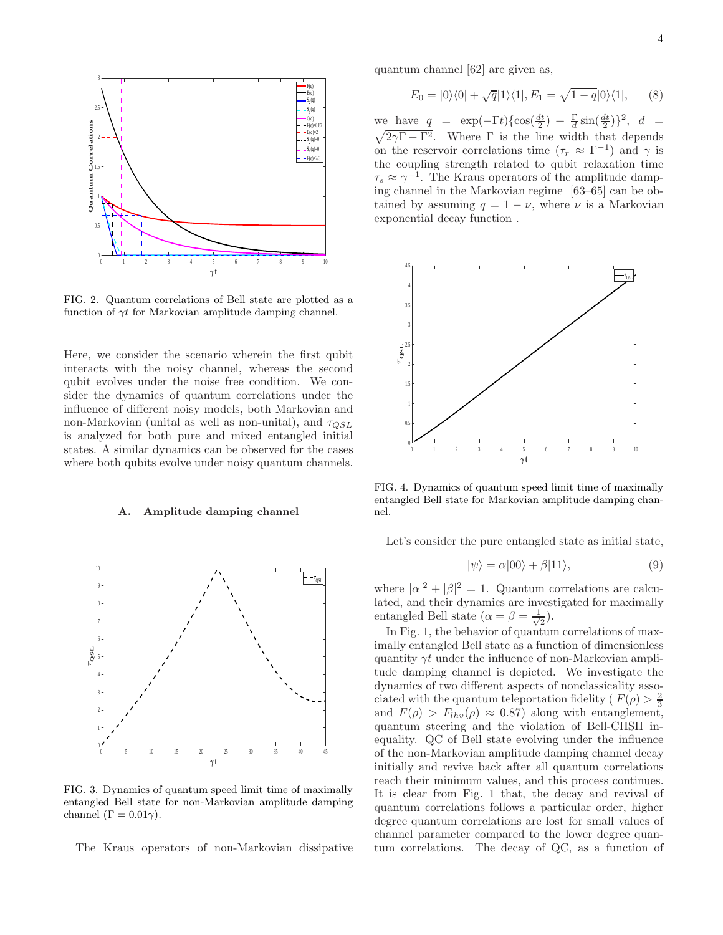

FIG. 2. Quantum correlations of Bell state are plotted as a function of  $\gamma t$  for Markovian amplitude damping channel.

Here, we consider the scenario wherein the first qubit interacts with the noisy channel, whereas the second qubit evolves under the noise free condition. We consider the dynamics of quantum correlations under the influence of different noisy models, both Markovian and non-Markovian (unital as well as non-unital), and  $\tau_{QSL}$ is analyzed for both pure and mixed entangled initial states. A similar dynamics can be observed for the cases where both qubits evolve under noisy quantum channels.

### A. Amplitude damping channel



FIG. 3. Dynamics of quantum speed limit time of maximally entangled Bell state for non-Markovian amplitude damping channel  $(\Gamma = 0.01\gamma)$ .

The Kraus operators of non-Markovian dissipative

quantum channel [62] are given as,

$$
E_0 = |0\rangle\langle 0| + \sqrt{q}|1\rangle\langle 1|, E_1 = \sqrt{1-q}|0\rangle\langle 1|, \qquad (8)
$$

we have  $q = \exp(-\Gamma t) \{ \cos(\frac{dt}{2}) + \frac{\Gamma}{d} \sin(\frac{dt}{2}) \}^2$ ,  $d =$  $\sqrt{2\gamma\Gamma-\Gamma^2}$ . Where  $\Gamma$  is the line width that depends on the reservoir correlations time  $(\tau_r \approx \Gamma^{-1})$  and  $\gamma$  is the coupling strength related to qubit relaxation time  $\tau_s \approx \gamma^{-1}$ . The Kraus operators of the amplitude damping channel in the Markovian regime [63–65] can be obtained by assuming  $q = 1 - \nu$ , where  $\nu$  is a Markovian exponential decay function .



FIG. 4. Dynamics of quantum speed limit time of maximally entangled Bell state for Markovian amplitude damping channel.

Let's consider the pure entangled state as initial state,

$$
|\psi\rangle = \alpha|00\rangle + \beta|11\rangle, \tag{9}
$$

where  $|\alpha|^2 + |\beta|^2 = 1$ . Quantum correlations are calculated, and their dynamics are investigated for maximally entangled Bell state ( $\alpha = \beta = \frac{1}{\sqrt{2}}$  $\overline{2}$ ).

In Fig. 1, the behavior of quantum correlations of maximally entangled Bell state as a function of dimensionless quantity  $\gamma t$  under the influence of non-Markovian amplitude damping channel is depicted. We investigate the dynamics of two different aspects of nonclassicality associated with the quantum teleportation fidelity ( $F(\rho) > \frac{2}{3}$ and  $F(\rho) > F_{lhv}(\rho) \approx 0.87$  along with entanglement, quantum steering and the violation of Bell-CHSH inequality. QC of Bell state evolving under the influence of the non-Markovian amplitude damping channel decay initially and revive back after all quantum correlations reach their minimum values, and this process continues. It is clear from Fig. 1 that, the decay and revival of quantum correlations follows a particular order, higher degree quantum correlations are lost for small values of channel parameter compared to the lower degree quantum correlations. The decay of QC, as a function of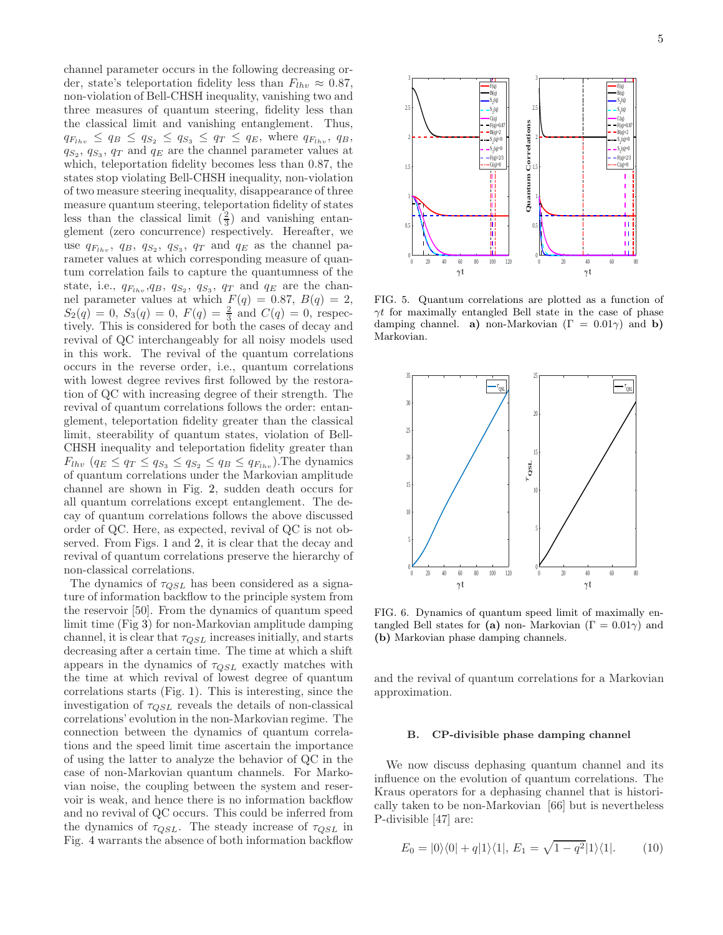channel parameter occurs in the following decreasing order, state's teleportation fidelity less than  $F_{lhv} \approx 0.87$ , non-violation of Bell-CHSH inequality, vanishing two and three measures of quantum steering, fidelity less than the classical limit and vanishing entanglement. Thus,  $q_{F_{lhv}} \le q_B \le q_{S_2} \le q_{S_3} \le q_T \le q_E$ , where  $q_{F_{lhv}}$ ,  $q_B$ ,  $q_{S_2}, q_{S_3}, q_T$  and  $q_E$  are the channel parameter values at which, teleportation fidelity becomes less than 0.87, the states stop violating Bell-CHSH inequality, non-violation of two measure steering inequality, disappearance of three measure quantum steering, teleportation fidelity of states less than the classical limit  $(\frac{2}{3})$  and vanishing entanglement (zero concurrence) respectively. Hereafter, we use  $q_{F_{lhv}}$ ,  $q_B$ ,  $q_{S_2}$ ,  $q_{S_3}$ ,  $q_T$  and  $q_E$  as the channel parameter values at which corresponding measure of quantum correlation fails to capture the quantumness of the state, i.e.,  $q_{F_{lhv}}$ ,  $q_B$ ,  $q_{S_2}$ ,  $q_{S_3}$ ,  $q_T$  and  $q_E$  are the channel parameter values at which  $F(q) = 0.87, B(q) = 2,$  $S_2(q) = 0, S_3(q) = 0, F(q) = \frac{2}{3}$  and  $C(q) = 0$ , respectively. This is considered for both the cases of decay and revival of QC interchangeably for all noisy models used in this work. The revival of the quantum correlations occurs in the reverse order, i.e., quantum correlations with lowest degree revives first followed by the restoration of QC with increasing degree of their strength. The revival of quantum correlations follows the order: entanglement, teleportation fidelity greater than the classical limit, steerability of quantum states, violation of Bell-CHSH inequality and teleportation fidelity greater than  $F_{lhv}$   $(q_E \leq q_T \leq q_{S_3} \leq q_{S_2} \leq q_B \leq q_{F_{lhv}})$ . The dynamics of quantum correlations under the Markovian amplitude channel are shown in Fig. 2, sudden death occurs for all quantum correlations except entanglement. The decay of quantum correlations follows the above discussed order of QC. Here, as expected, revival of QC is not observed. From Figs. 1 and 2, it is clear that the decay and revival of quantum correlations preserve the hierarchy of non-classical correlations.

The dynamics of  $\tau_{QSL}$  has been considered as a signature of information backflow to the principle system from the reservoir [50]. From the dynamics of quantum speed limit time (Fig 3) for non-Markovian amplitude damping channel, it is clear that  $\tau_{OSL}$  increases initially, and starts decreasing after a certain time. The time at which a shift appears in the dynamics of  $\tau_{QSL}$  exactly matches with the time at which revival of lowest degree of quantum correlations starts (Fig. 1). This is interesting, since the investigation of  $\tau_{QSL}$  reveals the details of non-classical correlations' evolution in the non-Markovian regime. The connection between the dynamics of quantum correlations and the speed limit time ascertain the importance of using the latter to analyze the behavior of QC in the case of non-Markovian quantum channels. For Markovian noise, the coupling between the system and reservoir is weak, and hence there is no information backflow and no revival of QC occurs. This could be inferred from the dynamics of  $\tau_{QSL}$ . The steady increase of  $\tau_{QSL}$  in Fig. 4 warrants the absence of both information backflow



FIG. 5. Quantum correlations are plotted as a function of  $\gamma t$  for maximally entangled Bell state in the case of phase damping channel. a) non-Markovian  $(\Gamma = 0.01\gamma)$  and b) Markovian.



FIG. 6. Dynamics of quantum speed limit of maximally entangled Bell states for (a) non- Markovian ( $\Gamma = 0.01\gamma$ ) and (b) Markovian phase damping channels.

and the revival of quantum correlations for a Markovian approximation.

### B. CP-divisible phase damping channel

We now discuss dephasing quantum channel and its influence on the evolution of quantum correlations. The Kraus operators for a dephasing channel that is historically taken to be non-Markovian [66] but is nevertheless P-divisible [47] are:

$$
E_0 = |0\rangle\langle 0| + q|1\rangle\langle 1|, E_1 = \sqrt{1 - q^2}|1\rangle\langle 1|.
$$
 (10)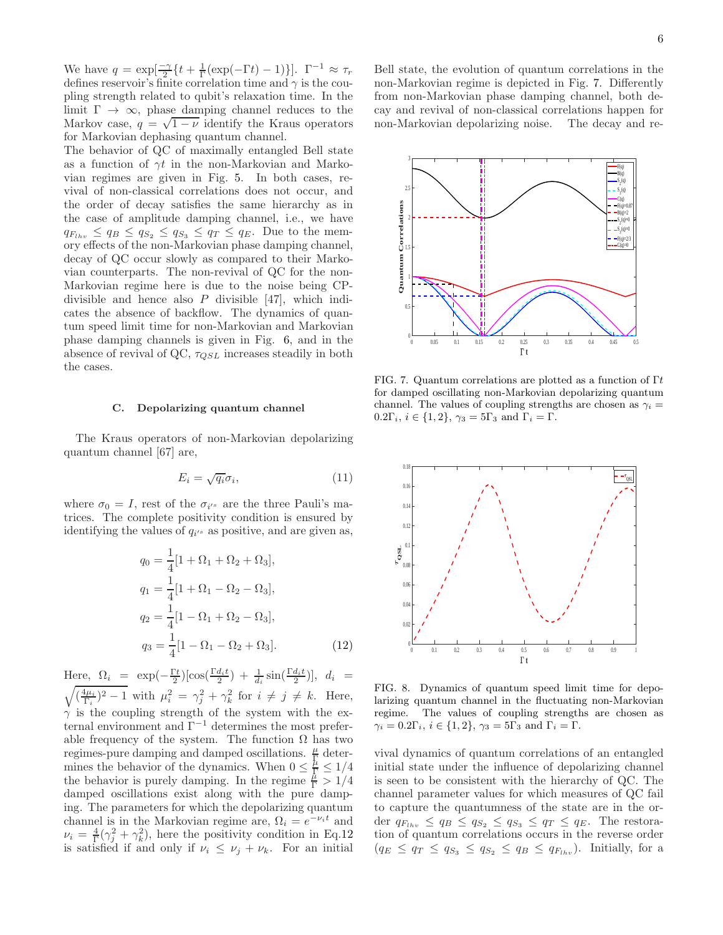We have  $q = \exp[\frac{-\gamma}{2}\left\{t + \frac{1}{\Gamma}(\exp(-\Gamma t) - 1)\right\}]\cdot \Gamma^{-1} \approx \tau_r$ defines reservoir's finite correlation time and  $\gamma$  is the coupling strength related to qubit's relaxation time. In the limit  $\Gamma \to \infty$ , phase damping channel reduces to the Markov case,  $q = \sqrt{1 - \nu}$  identify the Kraus operators for Markovian dephasing quantum channel.

The behavior of QC of maximally entangled Bell state as a function of  $\gamma t$  in the non-Markovian and Markovian regimes are given in Fig. 5. In both cases, revival of non-classical correlations does not occur, and the order of decay satisfies the same hierarchy as in the case of amplitude damping channel, i.e., we have  $q_{F_{1hv}} \le q_B \le q_{S_2} \le q_{S_3} \le q_T \le q_E$ . Due to the memory effects of the non-Markovian phase damping channel, decay of QC occur slowly as compared to their Markovian counterparts. The non-revival of QC for the non-Markovian regime here is due to the noise being CPdivisible and hence also  $P$  divisible [47], which indicates the absence of backflow. The dynamics of quantum speed limit time for non-Markovian and Markovian phase damping channels is given in Fig. 6, and in the absence of revival of QC,  $\tau_{QSL}$  increases steadily in both the cases.

# C. Depolarizing quantum channel

The Kraus operators of non-Markovian depolarizing quantum channel [67] are,

$$
E_i = \sqrt{q_i} \sigma_i,\tag{11}
$$

where  $\sigma_0 = I$ , rest of the  $\sigma_{i}$  are the three Pauli's matrices. The complete positivity condition is ensured by identifying the values of  $q_{i'}$  as positive, and are given as,

$$
q_0 = \frac{1}{4} [1 + \Omega_1 + \Omega_2 + \Omega_3],
$$
  
\n
$$
q_1 = \frac{1}{4} [1 + \Omega_1 - \Omega_2 - \Omega_3],
$$
  
\n
$$
q_2 = \frac{1}{4} [1 - \Omega_1 + \Omega_2 - \Omega_3],
$$
  
\n
$$
q_3 = \frac{1}{4} [1 - \Omega_1 - \Omega_2 + \Omega_3].
$$
\n(12)

Here,  $\Omega_i = \exp(-\frac{\Gamma t}{2})[\cos(\frac{\Gamma d_i t}{2}) + \frac{1}{d_i}\sin(\frac{\Gamma d_i t}{2})], d_i =$  $\sqrt{\left(\frac{4\mu_i}{\Gamma_i}\right)^2 - 1}$  with  $\mu_i^2 = \gamma_j^2 + \gamma_k^2$  for  $i \neq j \neq k$ . Here,  $\gamma$  is the coupling strength of the system with the external environment and  $\Gamma^{-1}$  determines the most preferable frequency of the system. The function  $\Omega$  has two regimes-pure damping and damped oscillations.  $\frac{\mu}{L}$  determines the behavior of the dynamics. When  $0 \leq \frac{\mu}{\Gamma} \leq 1/4$ the behavior is purely damping. In the regime  $\frac{\mu}{\Gamma} > 1/4$ damped oscillations exist along with the pure damping. The parameters for which the depolarizing quantum channel is in the Markovian regime are,  $\Omega_i = e^{-\nu_i t}$  and  $\nu_i = \frac{4}{\Gamma} (\gamma_i^2 + \gamma_k^2)$ , here the positivity condition in Eq.12 is satisfied if and only if  $\nu_i \leq \nu_j + \nu_k$ . For an initial

Bell state, the evolution of quantum correlations in the non-Markovian regime is depicted in Fig. 7. Differently from non-Markovian phase damping channel, both decay and revival of non-classical correlations happen for non-Markovian depolarizing noise. The decay and re-



FIG. 7. Quantum correlations are plotted as a function of  $\Gamma t$ for damped oscillating non-Markovian depolarizing quantum channel. The values of coupling strengths are chosen as  $\gamma_i =$ 0.2Γ<sub>i</sub>,  $i \in \{1, 2\}$ ,  $\gamma_3 = 5\Gamma_3$  and  $\Gamma_i = \Gamma$ .



FIG. 8. Dynamics of quantum speed limit time for depolarizing quantum channel in the fluctuating non-Markovian regime. The values of coupling strengths are chosen as  $\gamma_i = 0.2\Gamma_i, i \in \{1, 2\}, \gamma_3 = 5\Gamma_3 \text{ and } \Gamma_i = \Gamma.$ 

vival dynamics of quantum correlations of an entangled initial state under the influence of depolarizing channel is seen to be consistent with the hierarchy of QC. The channel parameter values for which measures of QC fail to capture the quantumness of the state are in the order  $q_{F_{lhv}} \le q_B \le q_{S_2} \le q_{S_3} \le q_T \le q_E$ . The restoration of quantum correlations occurs in the reverse order  $(q_E \leq q_T \leq q_{S_3} \leq q_{S_2} \leq q_B \leq q_{F_{lhv}})$ . Initially, for a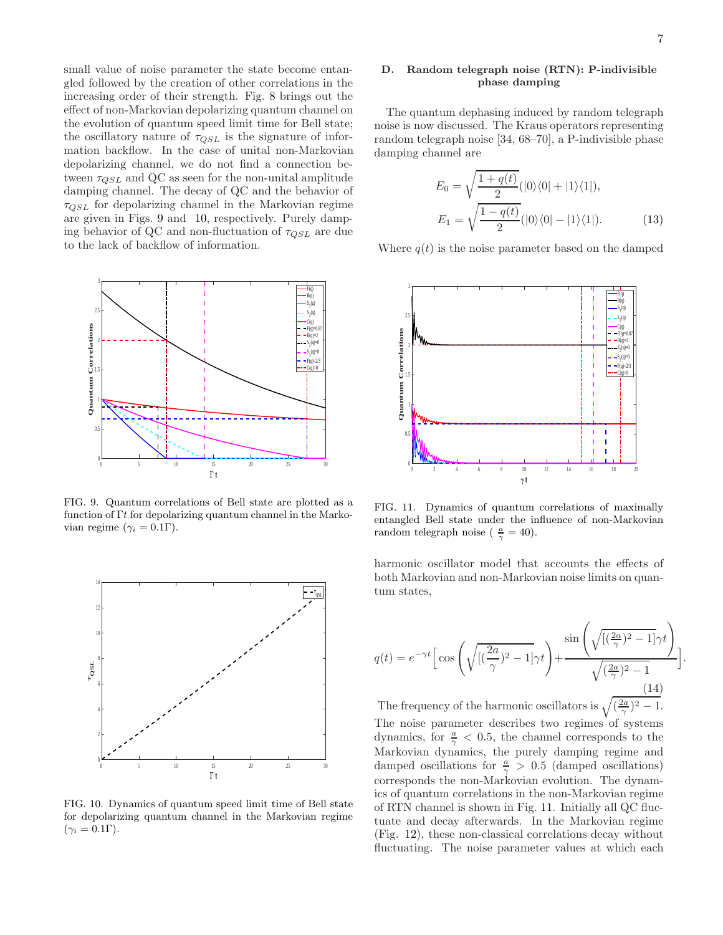small value of noise parameter the state become entangled followed by the creation of other correlations in the increasing order of their strength. Fig. 8 brings out the effect of non-Markovian depolarizing quantum channel on the evolution of quantum speed limit time for Bell state; the oscillatory nature of  $\tau_{QSL}$  is the signature of information backflow. In the case of unital non-Markovian depolarizing channel, we do not find a connection between  $\tau_{OSL}$  and QC as seen for the non-unital amplitude damping channel. The decay of QC and the behavior of  $\tau_{QSL}$  for depolarizing channel in the Markovian regime are given in Figs. 9 and 10, respectively. Purely damping behavior of QC and non-fluctuation of  $\tau_{QSL}$  are due to the lack of backflow of information.



FIG. 9. Quantum correlations of Bell state are plotted as a function of Γt for depolarizing quantum channel in the Markovian regime ( $\gamma_i = 0.1\Gamma$ ).



FIG. 10. Dynamics of quantum speed limit time of Bell state for depolarizing quantum channel in the Markovian regime  $(\gamma_i = 0.1\Gamma).$ 

# D. Random telegraph noise (RTN): P-indivisible phase damping

The quantum dephasing induced by random telegraph noise is now discussed. The Kraus operators representing random telegraph noise [34, 68–70], a P-indivisible phase damping channel are

$$
E_0 = \sqrt{\frac{1+q(t)}{2}} (|0\rangle\langle 0| + |1\rangle\langle 1|),
$$
  
\n
$$
E_1 = \sqrt{\frac{1-q(t)}{2}} (|0\rangle\langle 0| - |1\rangle\langle 1|).
$$
 (13)

Where  $q(t)$  is the noise parameter based on the damped



FIG. 11. Dynamics of quantum correlations of maximally entangled Bell state under the influence of non-Markovian random telegraph noise ( $\frac{a}{\gamma} = 40$ ).

harmonic oscillator model that accounts the effects of both Markovian and non-Markovian noise limits on quantum states,

$$
q(t) = e^{-\gamma t} \left[ \cos \left( \sqrt{\left[ \left( \frac{2a}{\gamma} \right)^2 - 1 \right] \gamma t} \right) + \frac{\sin \left( \sqrt{\left[ \left( \frac{2a}{\gamma} \right)^2 - 1 \right]} \gamma t \right)}{\sqrt{\left( \frac{2a}{\gamma} \right)^2 - 1}} \right].
$$
\n(14)

The frequency of the harmonic oscillators is  $\sqrt{\left(\frac{2a}{\gamma}\right)^2-1}$ . The noise parameter describes two regimes of systems dynamics, for  $\frac{a}{\gamma} < 0.5$ , the channel corresponds to the Markovian dynamics, the purely damping regime and damped oscillations for  $\frac{a}{\gamma} > 0.5$  (damped oscillations) corresponds the non-Markovian evolution. The dynamics of quantum correlations in the non-Markovian regime of RTN channel is shown in Fig. 11. Initially all QC fluctuate and decay afterwards. In the Markovian regime (Fig. 12), these non-classical correlations decay without fluctuating. The noise parameter values at which each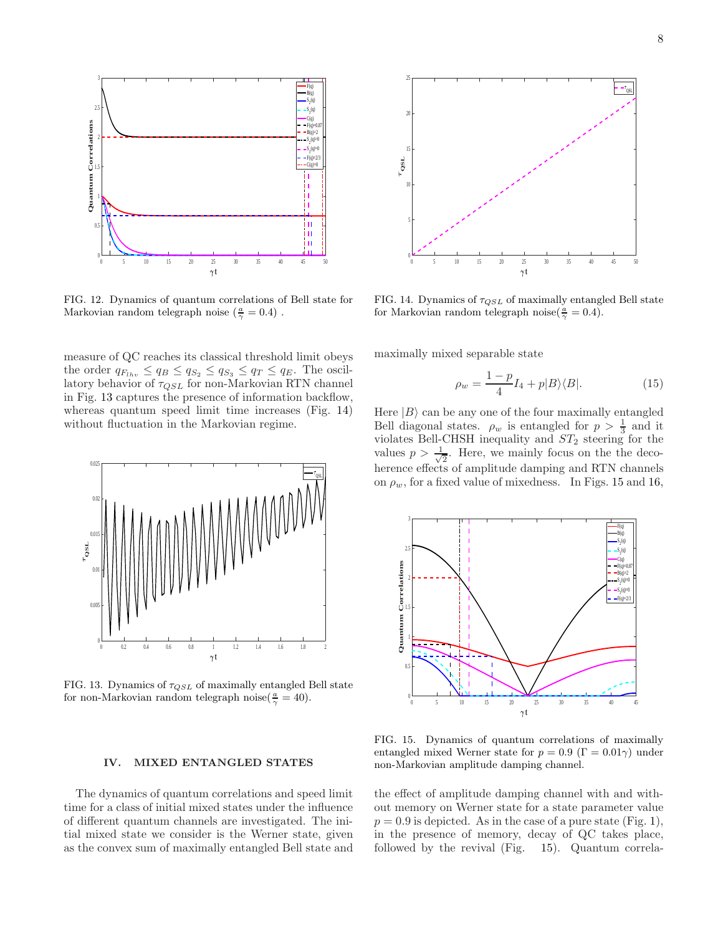

FIG. 12. Dynamics of quantum correlations of Bell state for Markovian random telegraph noise  $(\frac{a}{\gamma} = 0.4)$ .

measure of QC reaches its classical threshold limit obeys the order  $q_{F_{lhv}} \le q_B \le q_{S_2} \le q_{S_3} \le q_T \le q_E$ . The oscillatory behavior of  $\tau_{QSL}$  for non-Markovian RTN channel in Fig. 13 captures the presence of information backflow, whereas quantum speed limit time increases (Fig. 14) without fluctuation in the Markovian regime.



FIG. 13. Dynamics of  $\tau_{QSL}$  of maximally entangled Bell state for non-Markovian random telegraph noise( $\frac{a}{\gamma} = 40$ ).

# IV. MIXED ENTANGLED STATES

The dynamics of quantum correlations and speed limit time for a class of initial mixed states under the influence of different quantum channels are investigated. The initial mixed state we consider is the Werner state, given as the convex sum of maximally entangled Bell state and



FIG. 14. Dynamics of  $\tau_{QSL}$  of maximally entangled Bell state for Markovian random telegraph noise( $\frac{a}{\gamma} = 0.4$ ).

maximally mixed separable state

$$
\rho_w = \frac{1 - p}{4} I_4 + p|B\rangle\langle B|.\tag{15}
$$

Here  $|B\rangle$  can be any one of the four maximally entangled Bell diagonal states.  $\rho_w$  is entangled for  $p > \frac{1}{3}$  and it violates Bell-CHSH inequality and  $ST_2$  steering for the values  $p > \frac{1}{\sqrt{2}}$  $\frac{1}{2}$ . Here, we mainly focus on the the decoherence effects of amplitude damping and RTN channels on  $\rho_w$ , for a fixed value of mixedness. In Figs. 15 and 16,



FIG. 15. Dynamics of quantum correlations of maximally entangled mixed Werner state for  $p = 0.9$  ( $\Gamma = 0.01\gamma$ ) under non-Markovian amplitude damping channel.

the effect of amplitude damping channel with and without memory on Werner state for a state parameter value  $p = 0.9$  is depicted. As in the case of a pure state (Fig. 1), in the presence of memory, decay of QC takes place, followed by the revival (Fig. 15). Quantum correla-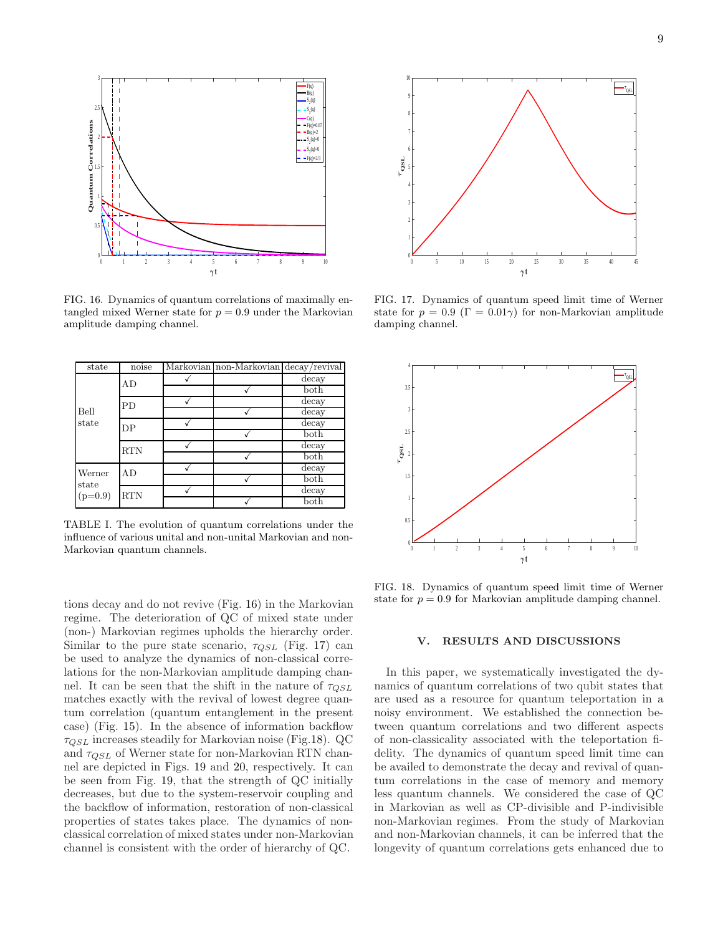

FIG. 16. Dynamics of quantum correlations of maximally entangled mixed Werner state for  $p = 0.9$  under the Markovian amplitude damping channel.

| state                        | noise      | Markovian non-Markovian decay/revival |                           |
|------------------------------|------------|---------------------------------------|---------------------------|
| Bell<br>state                | AD         |                                       | decay                     |
|                              |            |                                       | $_{\text{both}}$          |
|                              | PD         |                                       | decay                     |
|                              |            |                                       | $\overline{\text{decay}}$ |
|                              | DP         |                                       | decay                     |
|                              |            |                                       | $_{\text{both}}$          |
|                              | <b>RTN</b> |                                       | decay                     |
|                              |            |                                       | both                      |
| Werner<br>state<br>$(p=0.9)$ | AD         |                                       | decay                     |
|                              |            |                                       | $_{\text{both}}$          |
|                              | <b>RTN</b> |                                       | decay                     |
|                              |            |                                       | $_{\text{both}}$          |

TABLE I. The evolution of quantum correlations under the influence of various unital and non-unital Markovian and non-Markovian quantum channels.

tions decay and do not revive (Fig. 16) in the Markovian regime. The deterioration of QC of mixed state under (non-) Markovian regimes upholds the hierarchy order. Similar to the pure state scenario,  $\tau_{QSL}$  (Fig. 17) can be used to analyze the dynamics of non-classical correlations for the non-Markovian amplitude damping channel. It can be seen that the shift in the nature of  $\tau_{QSL}$ matches exactly with the revival of lowest degree quantum correlation (quantum entanglement in the present case) (Fig. 15). In the absence of information backflow  $\tau_{QSL}$  increases steadily for Markovian noise (Fig.18). QC and  $\tau_{QSL}$  of Werner state for non-Markovian RTN channel are depicted in Figs. 19 and 20, respectively. It can be seen from Fig. 19, that the strength of QC initially decreases, but due to the system-reservoir coupling and the backflow of information, restoration of non-classical properties of states takes place. The dynamics of nonclassical correlation of mixed states under non-Markovian channel is consistent with the order of hierarchy of QC.



FIG. 17. Dynamics of quantum speed limit time of Werner state for  $p = 0.9$  ( $\Gamma = 0.01\gamma$ ) for non-Markovian amplitude damping channel.



FIG. 18. Dynamics of quantum speed limit time of Werner state for  $p = 0.9$  for Markovian amplitude damping channel.

# V. RESULTS AND DISCUSSIONS

In this paper, we systematically investigated the dynamics of quantum correlations of two qubit states that are used as a resource for quantum teleportation in a noisy environment. We established the connection between quantum correlations and two different aspects of non-classicality associated with the teleportation fidelity. The dynamics of quantum speed limit time can be availed to demonstrate the decay and revival of quantum correlations in the case of memory and memory less quantum channels. We considered the case of QC in Markovian as well as CP-divisible and P-indivisible non-Markovian regimes. From the study of Markovian and non-Markovian channels, it can be inferred that the longevity of quantum correlations gets enhanced due to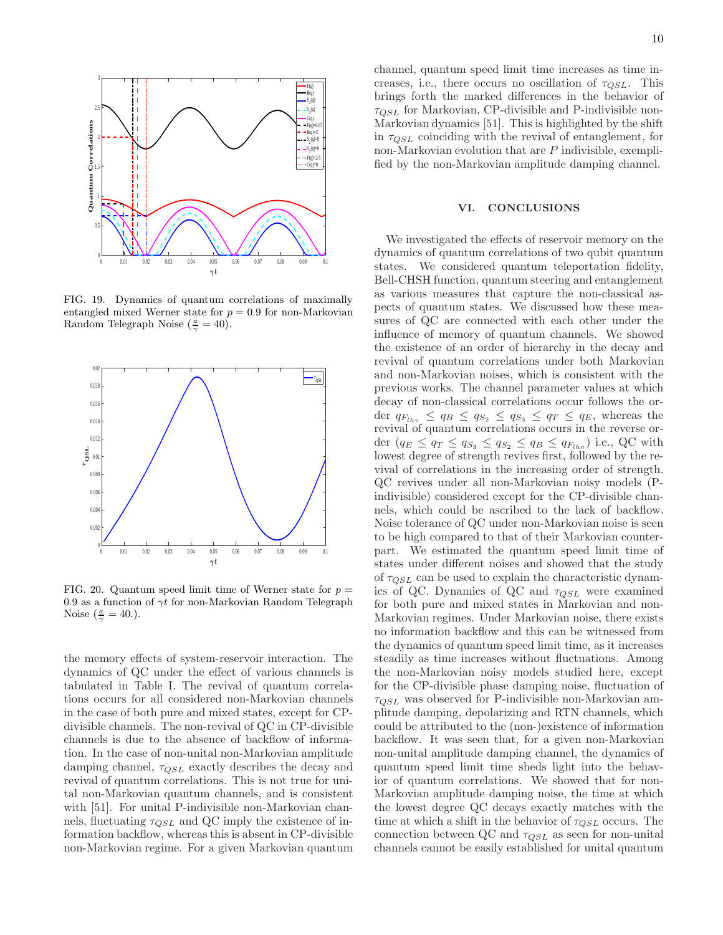

FIG. 19. Dynamics of quantum correlations of maximally entangled mixed Werner state for  $p = 0.9$  for non-Markovian Random Telegraph Noise  $(\frac{a}{\gamma} = 40)$ .



FIG. 20. Quantum speed limit time of Werner state for  $p =$ 0.9 as a function of  $\gamma t$  for non-Markovian Random Telegraph Noise  $(\frac{a}{\gamma} = 40.)$ .

the memory effects of system-reservoir interaction. The dynamics of QC under the effect of various channels is tabulated in Table I. The revival of quantum correlations occurs for all considered non-Markovian channels in the case of both pure and mixed states, except for CPdivisible channels. The non-revival of QC in CP-divisible channels is due to the absence of backflow of information. In the case of non-unital non-Markovian amplitude damping channel,  $\tau_{QSL}$  exactly describes the decay and revival of quantum correlations. This is not true for unital non-Markovian quantum channels, and is consistent with [51]. For unital P-indivisible non-Markovian channels, fluctuating  $\tau_{OSL}$  and QC imply the existence of information backflow, whereas this is absent in CP-divisible non-Markovian regime. For a given Markovian quantum

channel, quantum speed limit time increases as time increases, i.e., there occurs no oscillation of  $\tau_{QSL}$ . This brings forth the marked differences in the behavior of  $\tau_{QSL}$  for Markovian, CP-divisible and P-indivisible non-Markovian dynamics [51]. This is highlighted by the shift in  $\tau_{OSL}$  coinciding with the revival of entanglement, for non-Markovian evolution that are  $P$  indivisible, exemplified by the non-Markovian amplitude damping channel.

### VI. CONCLUSIONS

We investigated the effects of reservoir memory on the dynamics of quantum correlations of two qubit quantum states. We considered quantum teleportation fidelity, Bell-CHSH function, quantum steering and entanglement as various measures that capture the non-classical aspects of quantum states. We discussed how these measures of QC are connected with each other under the influence of memory of quantum channels. We showed the existence of an order of hierarchy in the decay and revival of quantum correlations under both Markovian and non-Markovian noises, which is consistent with the previous works. The channel parameter values at which decay of non-classical correlations occur follows the order  $q_{F_{lhv}} \leq q_B \leq q_{S_2} \leq q_{S_3} \leq q_T \leq q_E$ , whereas the revival of quantum correlations occurs in the reverse order  $(q_E \leq q_T \leq q_{S_3} \leq q_{S_2} \leq q_B \leq q_{F_{lhv}})$  i.e., QC with lowest degree of strength revives first, followed by the revival of correlations in the increasing order of strength. QC revives under all non-Markovian noisy models (Pindivisible) considered except for the CP-divisible channels, which could be ascribed to the lack of backflow. Noise tolerance of QC under non-Markovian noise is seen to be high compared to that of their Markovian counterpart. We estimated the quantum speed limit time of states under different noises and showed that the study of  $\tau_{QSL}$  can be used to explain the characteristic dynamics of QC. Dynamics of QC and  $\tau_{QSL}$  were examined for both pure and mixed states in Markovian and non-Markovian regimes. Under Markovian noise, there exists no information backflow and this can be witnessed from the dynamics of quantum speed limit time, as it increases steadily as time increases without fluctuations. Among the non-Markovian noisy models studied here, except for the CP-divisible phase damping noise, fluctuation of  $\tau_{QSL}$  was observed for P-indivisible non-Markovian amplitude damping, depolarizing and RTN channels, which could be attributed to the (non-)existence of information backflow. It was seen that, for a given non-Markovian non-unital amplitude damping channel, the dynamics of quantum speed limit time sheds light into the behavior of quantum correlations. We showed that for non-Markovian amplitude damping noise, the time at which the lowest degree QC decays exactly matches with the time at which a shift in the behavior of  $\tau_{QSL}$  occurs. The connection between QC and  $\tau_{OSL}$  as seen for non-unital channels cannot be easily established for unital quantum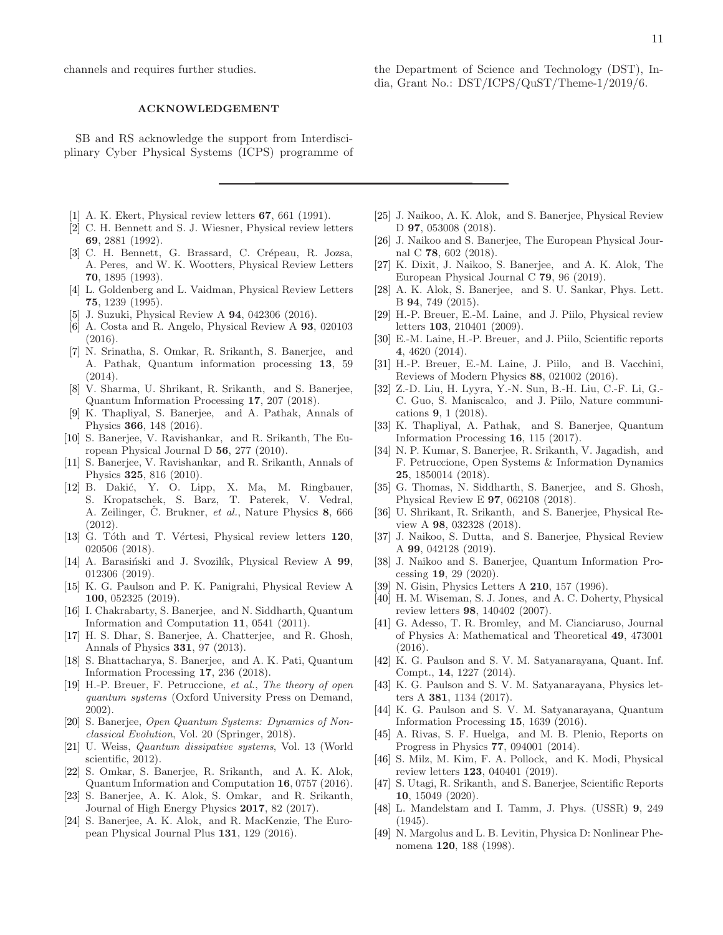channels and requires further studies.

# ACKNOWLEDGEMENT

SB and RS acknowledge the support from Interdisciplinary Cyber Physical Systems (ICPS) programme of

- [1] A. K. Ekert, Physical review letters 67, 661 (1991).
- [2] C. H. Bennett and S. J. Wiesner, Physical review letters 69, 2881 (1992).
- [3] C. H. Bennett, G. Brassard, C. Crépeau, R. Jozsa, A. Peres, and W. K. Wootters, Physical Review Letters 70, 1895 (1993).
- [4] L. Goldenberg and L. Vaidman, Physical Review Letters 75, 1239 (1995).
- [5] J. Suzuki, Physical Review A 94, 042306 (2016).
- [6] A. Costa and R. Angelo, Physical Review A 93, 020103 (2016).
- [7] N. Srinatha, S. Omkar, R. Srikanth, S. Banerjee, and A. Pathak, Quantum information processing 13, 59 (2014).
- [8] V. Sharma, U. Shrikant, R. Srikanth, and S. Banerjee, Quantum Information Processing 17, 207 (2018).
- [9] K. Thapliyal, S. Banerjee, and A. Pathak, Annals of Physics 366, 148 (2016).
- [10] S. Banerjee, V. Ravishankar, and R. Srikanth, The European Physical Journal D 56, 277 (2010).
- [11] S. Banerjee, V. Ravishankar, and R. Srikanth, Annals of Physics 325, 816 (2010).
- [12] B. Dakić, Y. O. Lipp, X. Ma, M. Ringbauer, S. Kropatschek, S. Barz, T. Paterek, V. Vedral, A. Zeilinger, Č. Brukner, *et al.*, Nature Physics 8, 666  $(2012)$
- [13] G. Tóth and T. Vértesi, Physical review letters 120, 020506 (2018).
- [14] A. Barasiński and J. Svozilík, Physical Review A 99, 012306 (2019).
- [15] K. G. Paulson and P. K. Panigrahi, Physical Review A 100, 052325 (2019).
- [16] I. Chakrabarty, S. Banerjee, and N. Siddharth, Quantum Information and Computation 11, 0541 (2011).
- [17] H. S. Dhar, S. Banerjee, A. Chatterjee, and R. Ghosh, Annals of Physics 331, 97 (2013).
- [18] S. Bhattacharya, S. Banerjee, and A. K. Pati, Quantum Information Processing 17, 236 (2018).
- [19] H.-P. Breuer, F. Petruccione, *et al.*, *The theory of open quantum systems* (Oxford University Press on Demand, 2002).
- [20] S. Banerjee, *Open Quantum Systems: Dynamics of Nonclassical Evolution*, Vol. 20 (Springer, 2018).
- [21] U. Weiss, *Quantum dissipative systems*, Vol. 13 (World scientific, 2012).
- [22] S. Omkar, S. Banerjee, R. Srikanth, and A. K. Alok, Quantum Information and Computation 16, 0757 (2016).
- [23] S. Banerjee, A. K. Alok, S. Omkar, and R. Srikanth, Journal of High Energy Physics 2017, 82 (2017).
- [24] S. Banerjee, A. K. Alok, and R. MacKenzie, The European Physical Journal Plus 131, 129 (2016).
- [25] J. Naikoo, A. K. Alok, and S. Banerjee, Physical Review D 97, 053008 (2018).
- [26] J. Naikoo and S. Banerjee, The European Physical Journal C 78, 602 (2018).
- [27] K. Dixit, J. Naikoo, S. Banerjee, and A. K. Alok, The European Physical Journal C 79, 96 (2019).
- [28] A. K. Alok, S. Banerjee, and S. U. Sankar, Phys. Lett. B 94, 749 (2015).
- [29] H.-P. Breuer, E.-M. Laine, and J. Piilo, Physical review letters 103, 210401 (2009).
- [30] E.-M. Laine, H.-P. Breuer, and J. Piilo, Scientific reports 4, 4620 (2014).
- [31] H.-P. Breuer, E.-M. Laine, J. Piilo, and B. Vacchini, Reviews of Modern Physics 88, 021002 (2016).
- [32] Z.-D. Liu, H. Lyyra, Y.-N. Sun, B.-H. Liu, C.-F. Li, G.- C. Guo, S. Maniscalco, and J. Piilo, Nature communications 9, 1 (2018).
- [33] K. Thapliyal, A. Pathak, and S. Banerjee, Quantum Information Processing 16, 115 (2017).
- [34] N. P. Kumar, S. Banerjee, R. Srikanth, V. Jagadish, and F. Petruccione, Open Systems & Information Dynamics 25, 1850014 (2018).
- [35] G. Thomas, N. Siddharth, S. Banerjee, and S. Ghosh, Physical Review E 97, 062108 (2018).
- [36] U. Shrikant, R. Srikanth, and S. Banerjee, Physical Review A 98, 032328 (2018).
- [37] J. Naikoo, S. Dutta, and S. Banerjee, Physical Review A 99, 042128 (2019).
- [38] J. Naikoo and S. Banerjee, Quantum Information Processing 19, 29 (2020).
- [39] N. Gisin, Physics Letters A **210**, 157 (1996).
- [40] H. M. Wiseman, S. J. Jones, and A. C. Doherty, Physical review letters 98, 140402 (2007).
- [41] G. Adesso, T. R. Bromley, and M. Cianciaruso, Journal of Physics A: Mathematical and Theoretical 49, 473001 (2016).
- [42] K. G. Paulson and S. V. M. Satyanarayana, Quant. Inf. Compt., 14, 1227 (2014).
- [43] K. G. Paulson and S. V. M. Satyanarayana, Physics letters A 381, 1134 (2017).
- [44] K. G. Paulson and S. V. M. Satyanarayana, Quantum Information Processing 15, 1639 (2016).
- [45] A. Rivas, S. F. Huelga, and M. B. Plenio, Reports on Progress in Physics 77, 094001 (2014).
- [46] S. Milz, M. Kim, F. A. Pollock, and K. Modi, Physical review letters 123, 040401 (2019).
- [47] S. Utagi, R. Srikanth, and S. Banerjee, Scientific Reports 10, 15049 (2020).
- [48] L. Mandelstam and I. Tamm, J. Phys. (USSR) 9, 249 (1945).
- [49] N. Margolus and L. B. Levitin, Physica D: Nonlinear Phenomena 120, 188 (1998).